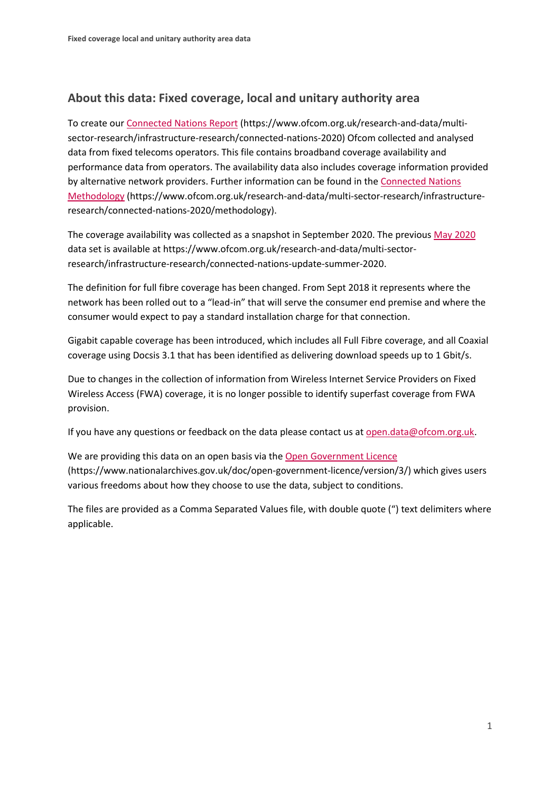## **About this data: Fixed coverage, local and unitary authority area**

To create ou[r Connected Nations Report](https://www.ofcom.org.uk/research-and-data/multi-sector-research/infrastructure-research/connected-nations-2020) (https://www.ofcom.org.uk/research-and-data/multisector-research/infrastructure-research/connected-nations-2020) Ofcom collected and analysed data from fixed telecoms operators. This file contains broadband coverage availability and performance data from operators. The availability data also includes coverage information provided by alternative network providers. Further information can be found in the [Connected Nations](https://www.ofcom.org.uk/research-and-data/multi-sector-research/infrastructure-research/connected-nations-2020/methodology)  [Methodology](https://www.ofcom.org.uk/research-and-data/multi-sector-research/infrastructure-research/connected-nations-2020/methodology) (https://www.ofcom.org.uk/research-and-data/multi-sector-research/infrastructureresearch/connected-nations-2020/methodology).

The coverage availability was collected as a snapshot in September 2020. The previous [May 2020](https://www.ofcom.org.uk/research-and-data/multi-sector-research/infrastructure-research/connected-nations-update-summer-2020) data set is available at https://www.ofcom.org.uk/research-and-data/multi-sectorresearch/infrastructure-research/connected-nations-update-summer-2020.

The definition for full fibre coverage has been changed. From Sept 2018 it represents where the network has been rolled out to a "lead-in" that will serve the consumer end premise and where the consumer would expect to pay a standard installation charge for that connection.

Gigabit capable coverage has been introduced, which includes all Full Fibre coverage, and all Coaxial coverage using Docsis 3.1 that has been identified as delivering download speeds up to 1 Gbit/s.

Due to changes in the collection of information from Wireless Internet Service Providers on Fixed Wireless Access (FWA) coverage, it is no longer possible to identify superfast coverage from FWA provision.

If you have any questions or feedback on the data please contact us at [open.data@ofcom.org.uk.](mailto:open.data@ofcom.org.uk)

We are providing this data on an open basis via the [Open Government Licence](https://www.nationalarchives.gov.uk/doc/open-government-licence/version/3/) (https://www.nationalarchives.gov.uk/doc/open-government-licence/version/3/) which gives users various freedoms about how they choose to use the data, subject to conditions.

The files are provided as a Comma Separated Values file, with double quote (") text delimiters where applicable.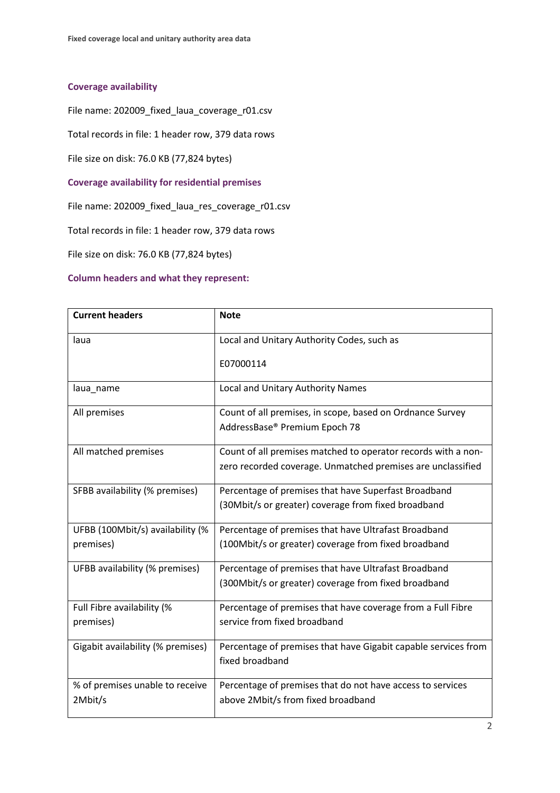## **Coverage availability**

File name: 202009\_fixed\_laua\_coverage\_r01.csv

Total records in file: 1 header row, 379 data rows

File size on disk: 76.0 KB (77,824 bytes)

**Coverage availability for residential premises**

File name: 202009\_fixed\_laua\_res\_coverage\_r01.csv

Total records in file: 1 header row, 379 data rows

File size on disk: 76.0 KB (77,824 bytes)

## **Column headers and what they represent:**

| <b>Current headers</b>            | <b>Note</b>                                                    |
|-----------------------------------|----------------------------------------------------------------|
| laua                              | Local and Unitary Authority Codes, such as                     |
|                                   | E07000114                                                      |
| laua_name                         | Local and Unitary Authority Names                              |
| All premises                      | Count of all premises, in scope, based on Ordnance Survey      |
|                                   | AddressBase® Premium Epoch 78                                  |
| All matched premises              | Count of all premises matched to operator records with a non-  |
|                                   | zero recorded coverage. Unmatched premises are unclassified    |
| SFBB availability (% premises)    | Percentage of premises that have Superfast Broadband           |
|                                   | (30Mbit/s or greater) coverage from fixed broadband            |
| UFBB (100Mbit/s) availability (%  | Percentage of premises that have Ultrafast Broadband           |
| premises)                         | (100Mbit/s or greater) coverage from fixed broadband           |
| UFBB availability (% premises)    | Percentage of premises that have Ultrafast Broadband           |
|                                   | (300Mbit/s or greater) coverage from fixed broadband           |
| Full Fibre availability (%        | Percentage of premises that have coverage from a Full Fibre    |
| premises)                         | service from fixed broadband                                   |
| Gigabit availability (% premises) | Percentage of premises that have Gigabit capable services from |
|                                   | fixed broadband                                                |
| % of premises unable to receive   | Percentage of premises that do not have access to services     |
| 2Mbit/s                           | above 2Mbit/s from fixed broadband                             |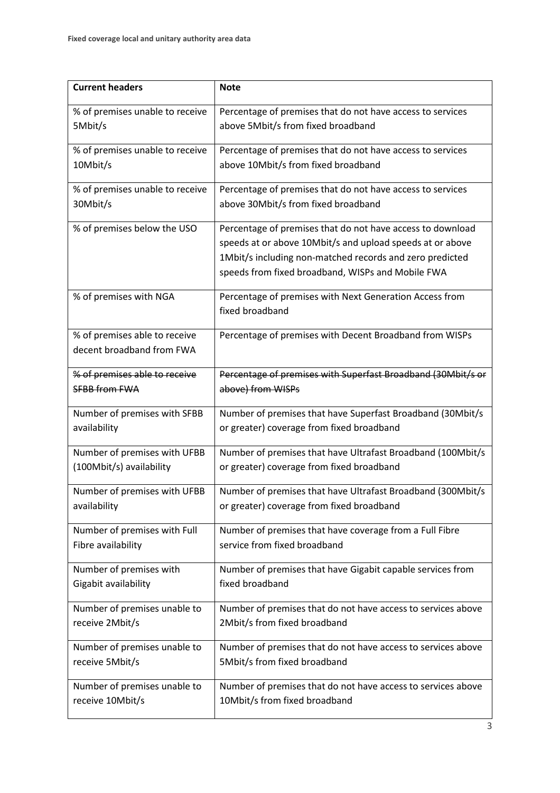| <b>Current headers</b>          | <b>Note</b>                                                  |
|---------------------------------|--------------------------------------------------------------|
|                                 |                                                              |
| % of premises unable to receive | Percentage of premises that do not have access to services   |
| 5Mbit/s                         | above 5Mbit/s from fixed broadband                           |
| % of premises unable to receive | Percentage of premises that do not have access to services   |
| 10Mbit/s                        | above 10Mbit/s from fixed broadband                          |
| % of premises unable to receive | Percentage of premises that do not have access to services   |
| 30Mbit/s                        | above 30Mbit/s from fixed broadband                          |
| % of premises below the USO     | Percentage of premises that do not have access to download   |
|                                 | speeds at or above 10Mbit/s and upload speeds at or above    |
|                                 | 1Mbit/s including non-matched records and zero predicted     |
|                                 | speeds from fixed broadband, WISPs and Mobile FWA            |
| % of premises with NGA          | Percentage of premises with Next Generation Access from      |
|                                 | fixed broadband                                              |
| % of premises able to receive   | Percentage of premises with Decent Broadband from WISPs      |
| decent broadband from FWA       |                                                              |
| % of premises able to receive   | Percentage of premises with Superfast Broadband (30Mbit/s or |
| <b>SFBB from FWA</b>            | above) from WISPs                                            |
| Number of premises with SFBB    | Number of premises that have Superfast Broadband (30Mbit/s   |
| availability                    | or greater) coverage from fixed broadband                    |
| Number of premises with UFBB    | Number of premises that have Ultrafast Broadband (100Mbit/s  |
| (100Mbit/s) availability        | or greater) coverage from fixed broadband                    |
| Number of premises with UFBB    | Number of premises that have Ultrafast Broadband (300Mbit/s  |
| availability                    | or greater) coverage from fixed broadband                    |
| Number of premises with Full    | Number of premises that have coverage from a Full Fibre      |
| Fibre availability              | service from fixed broadband                                 |
| Number of premises with         | Number of premises that have Gigabit capable services from   |
| Gigabit availability            | fixed broadband                                              |
| Number of premises unable to    | Number of premises that do not have access to services above |
| receive 2Mbit/s                 | 2Mbit/s from fixed broadband                                 |
| Number of premises unable to    | Number of premises that do not have access to services above |
| receive 5Mbit/s                 | 5Mbit/s from fixed broadband                                 |
| Number of premises unable to    | Number of premises that do not have access to services above |
| receive 10Mbit/s                | 10Mbit/s from fixed broadband                                |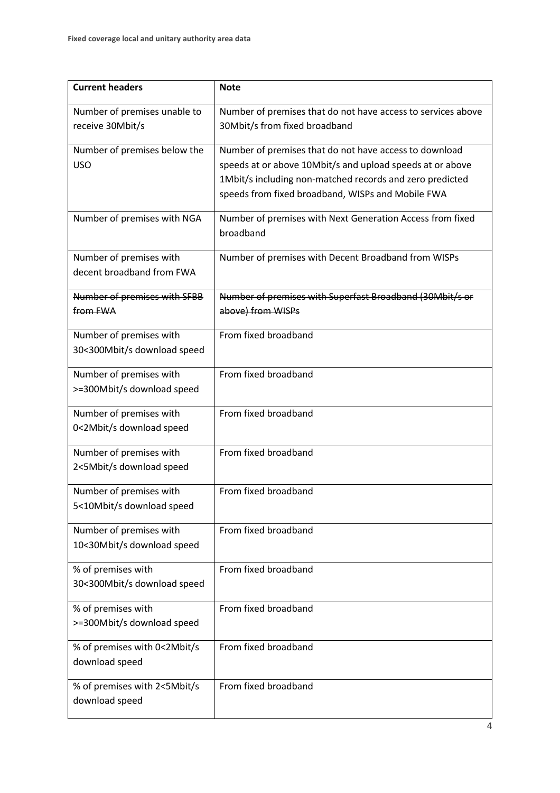| <b>Current headers</b>                                 | <b>Note</b>                                                                                                                                                                                                                          |
|--------------------------------------------------------|--------------------------------------------------------------------------------------------------------------------------------------------------------------------------------------------------------------------------------------|
| Number of premises unable to<br>receive 30Mbit/s       | Number of premises that do not have access to services above<br>30Mbit/s from fixed broadband                                                                                                                                        |
| Number of premises below the<br><b>USO</b>             | Number of premises that do not have access to download<br>speeds at or above 10Mbit/s and upload speeds at or above<br>1Mbit/s including non-matched records and zero predicted<br>speeds from fixed broadband, WISPs and Mobile FWA |
| Number of premises with NGA                            | Number of premises with Next Generation Access from fixed<br>broadband                                                                                                                                                               |
| Number of premises with<br>decent broadband from FWA   | Number of premises with Decent Broadband from WISPs                                                                                                                                                                                  |
| Number of premises with SFBB<br>from FWA               | Number of premises with Superfast Broadband (30Mbit/s or<br>above) from WISPs                                                                                                                                                        |
| Number of premises with<br>30<300Mbit/s download speed | From fixed broadband                                                                                                                                                                                                                 |
| Number of premises with<br>>=300Mbit/s download speed  | From fixed broadband                                                                                                                                                                                                                 |
| Number of premises with<br>0<2Mbit/s download speed    | From fixed broadband                                                                                                                                                                                                                 |
| Number of premises with<br>2<5Mbit/s download speed    | From fixed broadband                                                                                                                                                                                                                 |
| Number of premises with<br>5<10Mbit/s download speed   | From fixed broadband                                                                                                                                                                                                                 |
| Number of premises with<br>10<30Mbit/s download speed  | From fixed broadband                                                                                                                                                                                                                 |
| % of premises with<br>30<300Mbit/s download speed      | From fixed broadband                                                                                                                                                                                                                 |
| % of premises with<br>>=300Mbit/s download speed       | From fixed broadband                                                                                                                                                                                                                 |
| % of premises with 0<2Mbit/s<br>download speed         | From fixed broadband                                                                                                                                                                                                                 |
| % of premises with 2<5Mbit/s<br>download speed         | From fixed broadband                                                                                                                                                                                                                 |